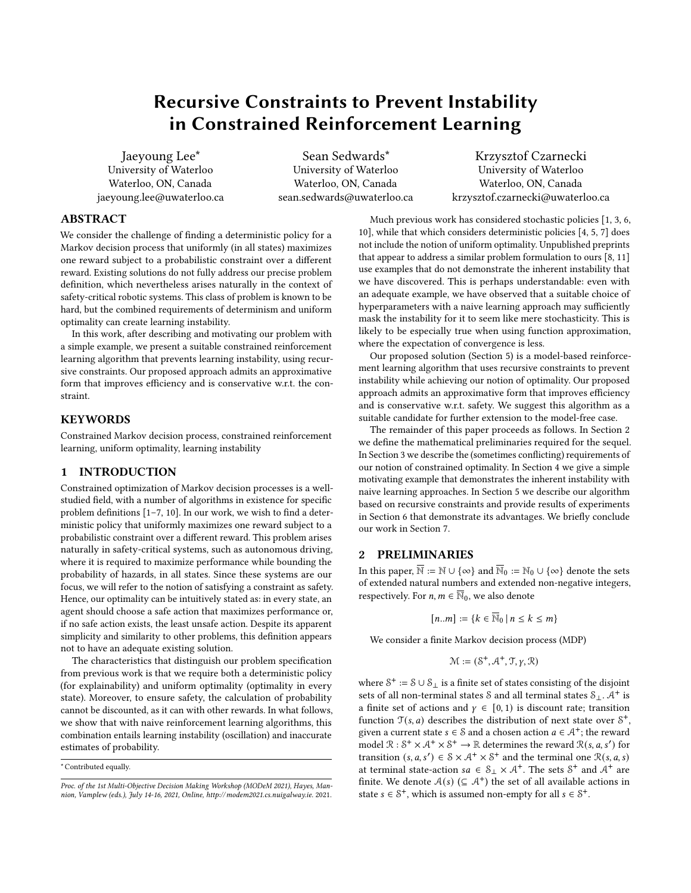# Recursive Constraints to Prevent Instability in Constrained Reinforcement Learning

Jaeyoung Lee\* University of Waterloo Waterloo, ON, Canada jaeyoung.lee@uwaterloo.ca

Sean Sedwards\* University of Waterloo Waterloo, ON, Canada sean.sedwards@uwaterloo.ca

Krzysztof Czarnecki University of Waterloo Waterloo, ON, Canada krzysztof.czarnecki@uwaterloo.ca

# ABSTRACT

We consider the challenge of finding a deterministic policy for a Markov decision process that uniformly (in all states) maximizes one reward subject to a probabilistic constraint over a different reward. Existing solutions do not fully address our precise problem definition, which nevertheless arises naturally in the context of safety-critical robotic systems. This class of problem is known to be hard, but the combined requirements of determinism and uniform optimality can create learning instability.

In this work, after describing and motivating our problem with a simple example, we present a suitable constrained reinforcement learning algorithm that prevents learning instability, using recursive constraints. Our proposed approach admits an approximative form that improves efficiency and is conservative w.r.t. the constraint.

## **KEYWORDS**

Constrained Markov decision process, constrained reinforcement learning, uniform optimality, learning instability

# 1 INTRODUCTION

Constrained optimization of Markov decision processes is a wellstudied field, with a number of algorithms in existence for specific problem definitions [\[1–](#page-5-0)[7,](#page-5-1) [10\]](#page-5-2). In our work, we wish to find a deterministic policy that uniformly maximizes one reward subject to a probabilistic constraint over a different reward. This problem arises naturally in safety-critical systems, such as autonomous driving, where it is required to maximize performance while bounding the probability of hazards, in all states. Since these systems are our focus, we will refer to the notion of satisfying a constraint as safety. Hence, our optimality can be intuitively stated as: in every state, an agent should choose a safe action that maximizes performance or, if no safe action exists, the least unsafe action. Despite its apparent simplicity and similarity to other problems, this definition appears not to have an adequate existing solution.

The characteristics that distinguish our problem specification from previous work is that we require both a deterministic policy (for explainability) and uniform optimality (optimality in every state). Moreover, to ensure safety, the calculation of probability cannot be discounted, as it can with other rewards. In what follows, we show that with naive reinforcement learning algorithms, this combination entails learning instability (oscillation) and inaccurate estimates of probability.

\* Contributed equally.

Much previous work has considered stochastic policies [\[1,](#page-5-0) [3,](#page-5-3) [6,](#page-5-4) [10\]](#page-5-2), while that which considers deterministic policies [\[4,](#page-5-5) [5,](#page-5-6) [7\]](#page-5-1) does not include the notion of uniform optimality. Unpublished preprints that appear to address a similar problem formulation to ours [\[8,](#page-5-7) [11\]](#page-5-8) use examples that do not demonstrate the inherent instability that we have discovered. This is perhaps understandable: even with an adequate example, we have observed that a suitable choice of hyperparameters with a naive learning approach may sufficiently mask the instability for it to seem like mere stochasticity. This is likely to be especially true when using function approximation, where the expectation of convergence is less.

Our proposed solution (Section [5\)](#page-3-0) is a model-based reinforcement learning algorithm that uses recursive constraints to prevent instability while achieving our notion of optimality. Our proposed approach admits an approximative form that improves efficiency and is conservative w.r.t. safety. We suggest this algorithm as a suitable candidate for further extension to the model-free case.

The remainder of this paper proceeds as follows. In Section [2](#page-0-0) we define the mathematical preliminaries required for the sequel. In Section [3](#page-1-0) we describe the (sometimes conflicting) requirements of our notion of constrained optimality. In Section [4](#page-2-0) we give a simple motivating example that demonstrates the inherent instability with naive learning approaches. In Section [5](#page-3-0) we describe our algorithm based on recursive constraints and provide results of experiments in Section [6](#page-5-9) that demonstrate its advantages. We briefly conclude our work in Section [7.](#page-5-10)

## <span id="page-0-0"></span>2 PRELIMINARIES

In this paper,  $\overline{\mathbb{N}} := \mathbb{N} \cup \{ \infty \}$  and  $\overline{\mathbb{N}}_0 := \mathbb{N}_0 \cup \{ \infty \}$  denote the sets of extended natural numbers and extended non-negative integers, respectively. For  $n,m\in\overline{\mathbb{N}}_0,$  we also denote

 $[n..m] := \{k \in \overline{\mathbb{N}}_0 \mid n \leq k \leq m\}$ 

We consider a finite Markov decision process (MDP)

$$
\mathcal{M} := (\mathcal{S}^+, \mathcal{A}^+, \mathcal{T}, \gamma, \mathcal{R})
$$

where  $S^+ := S \cup S_\perp$  is a finite set of states consisting of the disjoint sets of all non-terminal states  $\delta$  and all terminal states  $\delta_{\perp}$ .  $A^+$  is a finite set of actions and  $\gamma \in [0, 1)$  is discount rate; transition function  $\mathcal{T}(s, a)$  describes the distribution of next state over  $\mathcal{S}^+$ , given a current state  $s \in S$  and a chosen action  $a \in A^+$ ; the reward model  $\mathbb{R}: S^+ \times A^+ \times S^+ \to \mathbb{R}$  determines the reward  $\mathbb{R}(s, a, s')$  for transition  $(s, a, s') \in \mathcal{S} \times \mathcal{A}^+ \times \mathcal{S}^+$  and the terminal one  $\mathcal{R}(s, a, s)$ at terminal state-action  $sa \in S_1 \times A^+$ . The sets  $S^+$  and  $A^+$  are finite. We denote  $A(s)$  ( $\subseteq A^+$ ) the set of all available actions in state  $s \in \mathcal{S}^+$ , which is assumed non-empty for all  $s \in \mathcal{S}^+$ .

Proc. of the 1st Multi-Objective Decision Making Workshop (MODeM 2021), Hayes, Mannion, Vamplew (eds.), July 14-16, 2021, Online,<http://modem2021.cs.nuigalway.ie>. 2021.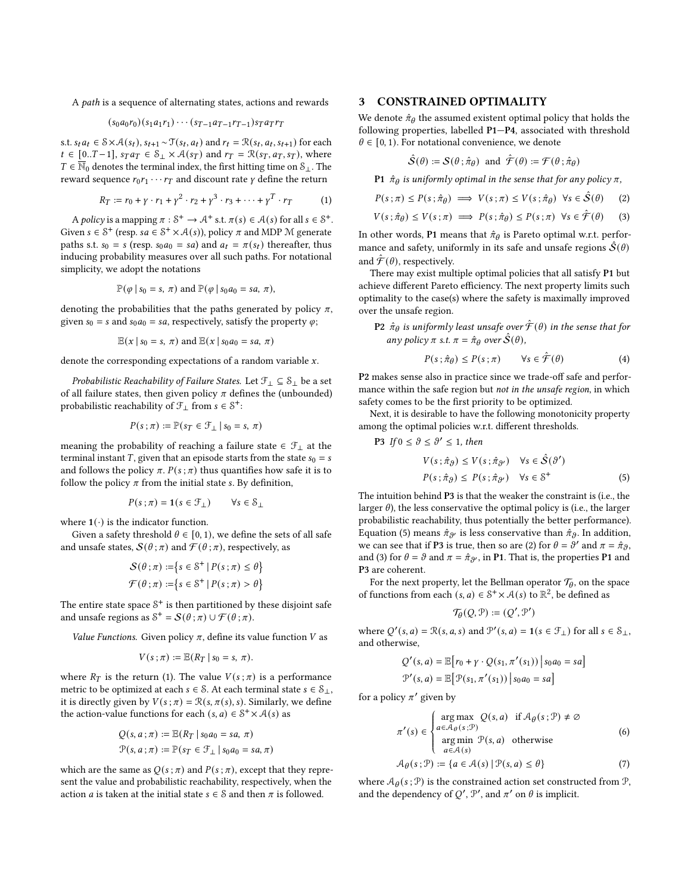A path is a sequence of alternating states, actions and rewards

$$
(s_0a_0r_0)(s_1a_1r_1)\cdots(s_{T-1}a_{T-1}r_{T-1})s_Ta_Tr_T
$$

s.t.  $s_t a_t \in S \times A(s_t)$ ,  $s_{t+1} \sim \mathcal{T}(s_t, a_t)$  and  $r_t = \mathcal{R}(s_t, a_t, s_{t+1})$  for each  $t \in [0..T-1], s_T a_T \in S_\perp \times \mathcal{A}(s_T)$  and  $r_T = \mathcal{R}(s_T, a_T, s_T)$ , where  $T \in \overline{\mathbb{N}}_0$  denotes the terminal index, the first hitting time on  $\mathcal{S}_\perp$ . The reward sequence  $r_0 r_1 \cdots r_T$  and discount rate  $\gamma$  define the return

<span id="page-1-1"></span>
$$
R_T := r_0 + \gamma \cdot r_1 + \gamma^2 \cdot r_2 + \gamma^3 \cdot r_3 + \dots + \gamma^T \cdot r_T \tag{1}
$$

A policy is a mapping  $\pi : \mathcal{S}^+ \to \mathcal{A}^+$  s.t.  $\pi(s) \in \mathcal{A}(s)$  for all  $s \in \mathcal{S}^+$ . Given  $s \in \mathcal{S}^+$  (resp.  $sa \in \mathcal{S}^+ \times \mathcal{A}(s)$ ), policy  $\pi$  and MDP M generate paths s.t.  $s_0 = s$  (resp.  $s_0 a_0 = sa$ ) and  $a_t = \pi(s_t)$  thereafter, thus inducing probability measures over all such paths. For notational simplicity, we adopt the notations

$$
\mathbb{P}(\varphi \mid s_0 = s, \pi) \text{ and } \mathbb{P}(\varphi \mid s_0 a_0 = s a, \pi),
$$

denoting the probabilities that the paths generated by policy  $\pi$ , given  $s_0 = s$  and  $s_0 a_0 = sa$ , respectively, satisfy the property  $\varphi$ ;

$$
\mathbb{E}(x \mid s_0 = s, \pi) \text{ and } \mathbb{E}(x \mid s_0 a_0 = s a, \pi)
$$

denote the corresponding expectations of a random variable  $x$ .

*Probabilistic Reachability of Failure States.* Let  $\mathcal{F}_\perp \subseteq \mathcal{S}_\perp$  be a set of all failure states, then given policy  $\pi$  defines the (unbounded) probabilistic reachability of  $\mathcal{F}_\perp$  from  $s \in \mathcal{S}^+$ :

$$
P(s; \pi) := \mathbb{P}(s_T \in \mathcal{F}_\perp \mid s_0 = s, \pi)
$$

meaning the probability of reaching a failure state  $\in \mathcal{F}_\perp$  at the terminal instant T, given that an episode starts from the state  $s_0 = s$ and follows the policy  $\pi$ .  $P(s; \pi)$  thus quantifies how safe it is to follow the policy  $\pi$  from the initial state s. By definition,

$$
P(s; \pi) = \mathbf{1}(s \in \mathcal{F}_{\perp}) \qquad \forall s \in \mathcal{S}_{\perp}
$$

where  $1(\cdot)$  is the indicator function.

Given a safety threshold  $\theta \in [0, 1)$ , we define the sets of all safe and unsafe states,  $S(\theta; \pi)$  and  $\mathcal{F}(\theta; \pi)$ , respectively, as

$$
\begin{aligned} \mathcal{S}(\theta \, ; \pi) := & \big\{ s \in \mathcal{S}^+ \, | \, P(s \, ; \pi) \leq \theta \big\} \\ \mathcal{F}(\theta \, ; \pi) := & \big\{ s \in \mathcal{S}^+ \, | \, P(s \, ; \pi) > \theta \big\} \end{aligned}
$$

The entire state space  $S^+$  is then partitioned by these disjoint safe and unsafe regions as  $S^+ = \mathcal{S}(\theta; \pi) \cup \mathcal{F}(\theta; \pi)$ .

Value Functions. Given policy  $\pi$ , define its value function V as

$$
V(s;\pi):=\mathbb{E}(R_T\mid s_0=s,\pi).
$$

where  $R_T$  is the return [\(1\)](#page-1-1). The value  $V(s; \pi)$  is a performance metric to be optimized at each  $s \in S$ . At each terminal state  $s \in S_{\perp}$ , it is directly given by  $V(s; \pi) = \mathcal{R}(s, \pi(s), s)$ . Similarly, we define the action-value functions for each  $(s, a) \in S^+ \times \mathcal{A}(s)$  as

$$
Q(s, a; \pi) := \mathbb{E}(R_T \mid s_0 a_0 = s a, \pi)
$$
  

$$
\mathcal{P}(s, a; \pi) := \mathbb{P}(s_T \in \mathcal{F}_\perp \mid s_0 a_0 = s a, \pi)
$$

which are the same as  $Q(s; \pi)$  and  $P(s; \pi)$ , except that they represent the value and probabilistic reachability, respectively, when the action *a* is taken at the initial state  $s \in S$  and then  $\pi$  is followed.

## <span id="page-1-0"></span>3 CONSTRAINED OPTIMALITY

We denote  $\hat{\pi}_{\theta}$  the assumed existent optimal policy that holds the following properties, labelled P1—P4, associated with threshold  $\theta \in [0, 1)$ . For notational convenience, we denote

<span id="page-1-4"></span><span id="page-1-3"></span>
$$
\hat{\mathcal{S}}(\theta) := \mathcal{S}(\theta \, ; \hat{\pi}_{\theta}) \text{ and } \hat{\mathcal{F}}(\theta) := \mathcal{F}(\theta \, ; \hat{\pi}_{\theta})
$$

**P1**  $\hat{\pi}_{\theta}$  is uniformly optimal in the sense that for any policy  $\pi$ ,

$$
P(s; \pi) \le P(s; \hat{\pi}_{\theta}) \implies V(s; \pi) \le V(s; \hat{\pi}_{\theta}) \quad \forall s \in \hat{\mathcal{S}}(\theta) \tag{2}
$$

$$
V(s; \hat{\pi}_{\theta}) \le V(s; \pi) \implies P(s; \hat{\pi}_{\theta}) \le P(s; \pi) \quad \forall s \in \hat{\mathcal{F}}(\theta) \tag{3}
$$

In other words, P1 means that  $\hat{\pi}_{\theta}$  is Pareto optimal w.r.t. performance and safety, uniformly in its safe and unsafe regions  $\hat{S}(\theta)$ and  $\mathcal{F}(\theta)$ , respectively.

There may exist multiple optimal policies that all satisfy P1 but achieve different Pareto efficiency. The next property limits such optimality to the case(s) where the safety is maximally improved over the unsafe region.

**P2**  $\hat{\pi}_{\theta}$  is uniformly least unsafe over  $\hat{\mathcal{F}}(\theta)$  in the sense that for any policy  $\pi$  s.t.  $\pi = \hat{\pi}_{\theta}$  over  $\hat{\mathcal{S}}(\theta)$ ,

$$
P(s; \hat{\pi}_{\theta}) \le P(s; \pi) \qquad \forall s \in \hat{\mathcal{F}}(\theta)
$$
 (4)

P2 makes sense also in practice since we trade-off safe and performance within the safe region but not in the unsafe region, in which safety comes to be the first priority to be optimized.

Next, it is desirable to have the following monotonicity property among the optimal policies w.r.t. different thresholds.

$$
\begin{aligned} \text{P3 } & \text{If } 0 \le \vartheta \le \vartheta' \le 1 \text{, then} \\ & V(s \, ; \hat{\pi}_{\vartheta}) \le V(s \, ; \hat{\pi}_{\vartheta'}) \quad \forall s \in \hat{\mathcal{S}}(\vartheta') \\ & P(s \, ; \hat{\pi}_{\vartheta}) \le P(s \, ; \hat{\pi}_{\vartheta'}) \quad \forall s \in \mathcal{S}^+ \end{aligned} \tag{5}
$$

The intuition behind P3 is that the weaker the constraint is (i.e., the larger  $\theta$ ), the less conservative the optimal policy is (i.e., the larger probabilistic reachability, thus potentially the better performance). Equation [\(5\)](#page-1-2) means  $\hat{\pi}_{\theta'}$  is less conservative than  $\hat{\pi}_{\theta}$ . In addition, we can see that if **P3** is true, then so are [\(2\)](#page-1-3) for  $\theta = \vartheta'$  and  $\pi = \hat{\pi}_{\vartheta}$ , and [\(3\)](#page-1-4) for  $\theta = \vartheta$  and  $\pi = \hat{\pi}_{\vartheta'}$ , in P1. That is, the properties P1 and P3 are coherent.

For the next property, let the Bellman operator  $\mathcal{T}_{\theta}$ , on the space of functions from each  $(s, a) \in \mathcal{S}^+ \times \mathcal{A}(s)$  to  $\mathbb{R}^2$ , be defined as

<span id="page-1-6"></span><span id="page-1-5"></span><span id="page-1-2"></span>
$$
\mathcal{T}_{\theta}(Q, \mathcal{P}) \coloneqq (Q', \mathcal{P}')
$$

where  $Q'(s, a) = \mathcal{R}(s, a, s)$  and  $\mathcal{P}'(s, a) = \mathbf{1}(s \in \mathcal{F}_{\perp})$  for all  $s \in \mathcal{S}_{\perp}$ , and otherwise,

$$
Q'(s, a) = \mathbb{E}[r_0 + \gamma \cdot Q(s_1, \pi'(s_1)) | s_0 a_0 = s a]
$$
  

$$
\mathcal{P}'(s, a) = \mathbb{E}[\mathcal{P}(s_1, \pi'(s_1)) | s_0 a_0 = s a]
$$

for a policy  $\pi'$  given by

$$
\pi'(s) \in \begin{cases} \arg \max_{a \in \mathcal{A}_{\theta}(s; \mathcal{P})} \mathcal{Q}(s, a) & \text{if } \mathcal{A}_{\theta}(s; \mathcal{P}) \neq \emptyset \\ \arg \min_{a \in \mathcal{A}(s)} \mathcal{P}(s, a) & \text{otherwise} \end{cases}
$$
(6)

$$
\mathcal{A}_{\theta}(s; \mathcal{P}) := \{ a \in \mathcal{A}(s) \mid \mathcal{P}(s, a) \le \theta \}
$$
 (7)

where  $A_{\theta}(s; \mathcal{P})$  is the constrained action set constructed from  $\mathcal{P}$ , and the dependency of  $Q'$ ,  $\mathcal{P}'$ , and  $\pi'$  on  $\theta$  is implicit.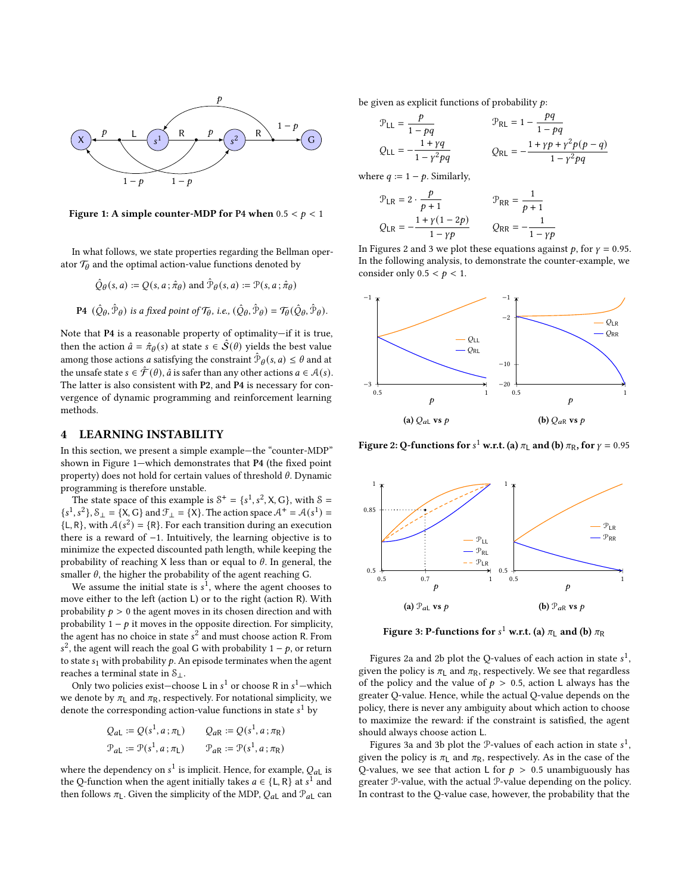<span id="page-2-1"></span>

Figure 1: A simple counter-MDP for P4 when  $0.5 < p < 1$ 

In what follows, we state properties regarding the Bellman operator  $\mathcal{T}_{\theta}$  and the optimal action-value functions denoted by

$$
\hat{Q}_{\theta}(s, a) := Q(s, a; \hat{\pi}_{\theta}) \text{ and } \hat{\mathcal{P}}_{\theta}(s, a) := \mathcal{P}(s, a; \hat{\pi}_{\theta})
$$
  
P4  $(\hat{Q}_{\theta}, \hat{\mathcal{P}}_{\theta})$  is a fixed point of  $\mathcal{T}_{\theta}$ , i.e.,  $(\hat{Q}_{\theta}, \hat{\mathcal{P}}_{\theta}) = \mathcal{T}_{\theta}(\hat{Q}_{\theta}, \hat{\mathcal{P}}_{\theta}).$ 

Note that P4 is a reasonable property of optimality—if it is true, then the action  $\hat{a} = \hat{\pi}_{\theta}(s)$  at state  $s \in \hat{S}(\theta)$  yields the best value among those actions *a* satisfying the constraint  $\hat{\mathcal{P}}_{\theta}(s, a) \leq \theta$  and at the unsafe state  $s \in \hat{\mathcal{F}}(\theta)$ ,  $\hat{a}$  is safer than any other actions  $a \in \mathcal{A}(s)$ . The latter is also consistent with P2, and P4 is necessary for convergence of dynamic programming and reinforcement learning methods.

# <span id="page-2-0"></span>4 LEARNING INSTABILITY

In this section, we present a simple example—the "counter-MDP" shown in Figure [1—](#page-2-1)which demonstrates that P4 (the fixed point property) does not hold for certain values of threshold  $\theta$ . Dynamic programming is therefore unstable.

The state space of this example is  $S^+ = \{s^1, s^2, X, G\}$ , with  $S =$  $\{s^1, s^2\}, \mathcal{S}_\perp = \{X, G\}$  and  $\mathcal{F}_\perp = \{X\}$ . The action space  $\mathcal{A}^+ = \mathcal{A}(s^1) =$  ${L, R}$ , with  $A(s^2) = {R}$ . For each transition during an execution there is a reward of −1. Intuitively, the learning objective is to minimize the expected discounted path length, while keeping the probability of reaching X less than or equal to  $\theta$ . In general, the smaller  $\theta$ , the higher the probability of the agent reaching G.

We assume the initial state is  $s^1$ , where the agent chooses to move either to the left (action L) or to the right (action R). With probability  $p > 0$  the agent moves in its chosen direction and with probability  $1 - p$  it moves in the opposite direction. For simplicity, the agent has no choice in state  $s^2$  and must choose action R. From  $s^2$ , the agent will reach the goal G with probability  $1 - p$ , or return to state  $s_1$  with probability  $p$ . An episode terminates when the agent reaches a terminal state in  $S_{\perp}$ .

Only two policies exist–choose L in  $s^1$  or choose R in  $s^1$ –which we denote by  $\pi$ <sub>L</sub> and  $\pi$ <sub>R</sub>, respectively. For notational simplicity, we denote the corresponding action-value functions in state  $s^1$  by

$$
Q_{aL} := Q(s^1, a; \pi_L)
$$
  
\n
$$
Q_{aR} := Q(s^1, a; \pi_R)
$$
  
\n
$$
P_{aL} := \mathcal{P}(s^1, a; \pi_L)
$$
  
\n
$$
Q_{aR} := Q(s^1, a; \pi_R)
$$

where the dependency on  $s^1$  is implicit. Hence, for example,  $Q_{aL}$  is the Q-function when the agent initially takes  $a \in \{L, R\}$  at  $s^1$  and then follows  $\pi_L$ . Given the simplicity of the MDP,  $Q_{aL}$  and  $\mathcal{P}_{aL}$  can be given as explicit functions of probability  $p$ :

$$
\mathcal{P}_{\text{LL}} = \frac{p}{1 - pq} \qquad \qquad \mathcal{P}_{\text{RL}} = 1 - \frac{pq}{1 - pq} \nQ_{\text{LL}} = -\frac{1 + \gamma q}{1 - \gamma^2 pq} \qquad \qquad Q_{\text{RL}} = -\frac{1 + \gamma p + \gamma^2 p (p - q)}{1 - \gamma^2 pq}
$$

where  $q := 1 - p$ . Similarly,

$$
\mathcal{P}_{LR} = 2 \cdot \frac{p}{p+1} \qquad \qquad \mathcal{P}_{RR} = \frac{1}{p+1}
$$
  

$$
Q_{LR} = -\frac{1 + \gamma(1 - 2p)}{1 - \gamma p} \qquad \qquad Q_{RR} = -\frac{1}{1 - \gamma p}
$$

In Figures [2](#page-2-2) and [3](#page-2-3) we plot these equations against  $p$ , for  $\gamma = 0.95$ . In the following analysis, to demonstrate the counter-example, we consider only  $0.5 < p < 1$ .

<span id="page-2-2"></span>

Figure 2: Q-functions for  $s^1$  w.r.t. (a)  $\pi$ <sub>L</sub> and (b)  $\pi$ <sub>R</sub>, for  $\gamma$  = 0.95

<span id="page-2-3"></span>

Figure 3: P-functions for  $s^1$  w.r.t. (a)  $\pi_\mathsf{L}$  and (b)  $\pi_\mathsf{R}$ 

Figures [2a](#page-2-2) and [2b](#page-2-2) plot the Q-values of each action in state  $s^1,$ given the policy is  $\pi$ <sub>L</sub> and  $\pi$ <sub>R</sub>, respectively. We see that regardless of the policy and the value of  $p > 0.5$ , action L always has the greater Q-value. Hence, while the actual Q-value depends on the policy, there is never any ambiguity about which action to choose to maximize the reward: if the constraint is satisfied, the agent should always choose action L.

Figures [3a](#page-2-3) and [3b](#page-2-3) plot the P-values of each action in state  $s^1$ , given the policy is  $\pi$ <sub>L</sub> and  $\pi$ <sub>R</sub>, respectively. As in the case of the Q-values, we see that action L for  $p > 0.5$  unambiguously has greater P-value, with the actual P-value depending on the policy. In contrast to the Q-value case, however, the probability that the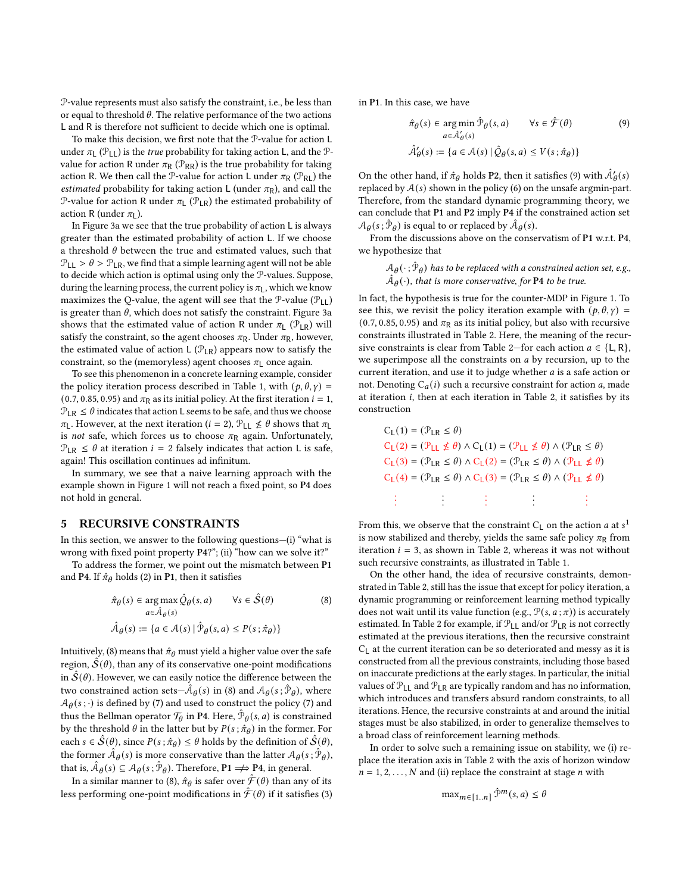P-value represents must also satisfy the constraint, i.e., be less than or equal to threshold  $\theta$ . The relative performance of the two actions L and R is therefore not sufficient to decide which one is optimal.

To make this decision, we first note that the P-value for action L under  $\pi_1$  ( $\mathcal{P}_{11}$ ) is the *true* probability for taking action L, and the  $\mathcal{P}_{-1}$ value for action R under  $\pi_R$  ( $\mathcal{P}_{RR}$ ) is the true probability for taking action R. We then call the P-value for action L under  $\pi_R$  (P<sub>RL</sub>) the *estimated* probability for taking action L (under  $\pi_R$ ), and call the P-value for action R under  $\pi$ <sub>L</sub> (P<sub>LR</sub>) the estimated probability of action R (under  $\pi$ <sub>1</sub>).

In Figure [3a](#page-2-3) we see that the true probability of action L is always greater than the estimated probability of action L. If we choose a threshold  $\theta$  between the true and estimated values, such that  $P_{LL} > \theta > P_{LR}$ , we find that a simple learning agent will not be able to decide which action is optimal using only the P-values. Suppose, during the learning process, the current policy is  $\pi$ <sub>L</sub>, which we know maximizes the Q-value, the agent will see that the  $\mathcal{P}\text{-value}(\mathcal{P}_{11})$ is greater than  $\theta$ , which does not satisfy the constraint. Figure [3a](#page-2-3) shows that the estimated value of action R under  $\pi_1$  (P<sub>LR</sub>) will satisfy the constraint, so the agent chooses  $\pi_R$ . Under  $\pi_R$ , however, the estimated value of action L  $(\mathcal{P}_{LR})$  appears now to satisfy the constraint, so the (memoryless) agent chooses  $\pi_1$  once again.

To see this phenomenon in a concrete learning example, consider the policy iteration process described in Table [1,](#page-4-0) with  $(p, \theta, \gamma)$  = (0.7, 0.85, 0.95) and  $\pi_R$  as its initial policy. At the first iteration  $i = 1$ ,  $P_{LR} \leq \theta$  indicates that action L seems to be safe, and thus we choose  $\pi$ <sub>L</sub>. However, at the next iteration ( $i = 2$ ),  $\mathcal{P}_{LL} \nleq \theta$  shows that  $\pi$ <sub>L</sub> is not safe, which forces us to choose  $\pi_R$  again. Unfortunately,  $P_{LR} \leq \theta$  at iteration  $i = 2$  falsely indicates that action L is safe, again! This oscillation continues ad infinitum.

In summary, we see that a naive learning approach with the example shown in Figure [1](#page-2-1) will not reach a fixed point, so P4 does not hold in general.

#### <span id="page-3-0"></span>5 RECURSIVE CONSTRAINTS

In this section, we answer to the following questions—(i) "what is wrong with fixed point property P4?"; (ii) "how can we solve it?"

To address the former, we point out the mismatch between P1 and P4. If  $\hat{\pi}_{\theta}$  holds [\(2\)](#page-1-3) in P1, then it satisfies

$$
\hat{\pi}_{\theta}(s) \in \arg \max_{a \in \hat{\mathcal{A}}_{\theta}(s)} \hat{Q}_{\theta}(s, a) \qquad \forall s \in \hat{\mathcal{S}}(\theta)
$$
\n
$$
\hat{\mathcal{A}}_{\theta}(s) := \{a \in \mathcal{A}(s) \mid \hat{\mathcal{P}}_{\theta}(s, a) \le P(s; \hat{\pi}_{\theta})\}
$$
\n
$$
(8)
$$

Intuitively, [\(8\)](#page-3-1) means that  $\hat{\pi}_{\theta}$  must yield a higher value over the safe region,  $\hat{S}(\theta)$ , than any of its conservative one-point modifications in  $\hat{S}(\theta)$ . However, we can easily notice the difference between the two constrained action sets— $\hat{A}_{\theta}(s)$  in [\(8\)](#page-3-1) and  $\mathcal{A}_{\theta}(s; \hat{\mathcal{P}}_{\theta})$ , where  $A_{\theta}(s; \cdot)$  is defined by [\(7\)](#page-1-5) and used to construct the policy (7) and thus the Bellman operator  $\mathcal{T}_{\theta}$  in P4. Here,  $\hat{\mathcal{P}}_{\theta}(s, a)$  is constrained by the threshold  $\theta$  in the latter but by  $P(s; \hat{\pi}_{\theta})$  in the former. For each  $s \in \hat{\mathcal{S}}(\theta)$ , since  $P(s; \hat{\pi}_{\theta}) \leq \theta$  holds by the definition of  $\hat{\mathcal{S}}(\theta)$ , the former  $\hat{\mathcal{A}}_{\theta}(s)$  is more conservative than the latter  $\mathcal{A}_{\theta}(s;\hat{\mathcal{P}}_{\theta})$ , that is,  $\hat{A}_{\theta}(s) \subseteq A_{\theta}(s; \hat{\mathcal{P}}_{\theta})$ . Therefore,  $P1 \Longrightarrow P4$ , in general.

In a similar manner to [\(8\)](#page-3-1),  $\hat{\pi}_{\theta}$  is safer over  $\hat{\mathcal{F}}(\theta)$  than any of its less performing one-point modifications in  $\mathcal{F}(\theta)$  if it satisfies [\(3\)](#page-1-4) in P1. In this case, we have

<span id="page-3-2"></span>
$$
\hat{\pi}_{\theta}(s) \in \arg\min_{a \in \hat{\mathcal{A}}_{\theta}'(s)} \hat{\mathcal{P}}_{\theta}(s, a) \qquad \forall s \in \hat{\mathcal{F}}(\theta) \tag{9}
$$
\n
$$
\hat{\mathcal{A}}_{\theta}'(s) := \{a \in \mathcal{A}(s) \mid \hat{\mathcal{Q}}_{\theta}(s, a) \le V(s; \hat{\pi}_{\theta})\}
$$

On the other hand, if  $\hat{\pi}_{\theta}$  holds P2, then it satisfies [\(9\)](#page-3-2) with  $\hat{\mathcal{A}}'_{\theta}(s)$ replaced by  $A(s)$  shown in the policy [\(6\)](#page-1-6) on the unsafe argmin-part. Therefore, from the standard dynamic programming theory, we can conclude that P1 and P2 imply P4 if the constrained action set  $\mathcal{A}_{\theta}(s; \hat{\mathcal{P}}_{\theta})$  is equal to or replaced by  $\hat{\mathcal{A}}_{\theta}(s)$ .

From the discussions above on the conservatism of P1 w.r.t. P4, we hypothesize that

> $\mathcal{A}_{\boldsymbol{\theta}}(\cdot;\hat{\mathcal{P}}_{\boldsymbol{\theta}})$  has to be replaced with a constrained action set, e.g.,  $\hat{A}_{\theta}(\cdot)$ , that is more conservative, for P4 to be true.

In fact, the hypothesis is true for the counter-MDP in Figure [1.](#page-2-1) To see this, we revisit the policy iteration example with  $(p, \theta, \gamma)$  = (0.7, 0.85, 0.95) and  $\pi_R$  as its initial policy, but also with recursive constraints illustrated in Table [2.](#page-4-1) Here, the meaning of the recur-sive constraints is clear from Table [2—](#page-4-1)for each action  $a \in \{L, R\}$ , we superimpose all the constraints on  $a$  by recursion, up to the current iteration, and use it to judge whether  $a$  is a safe action or not. Denoting  $C_a(i)$  such a recursive constraint for action a, made at iteration  $i$ , then at each iteration in Table [2,](#page-4-1) it satisfies by its construction

$$
C_{L}(1) = (\mathcal{P}_{LR} \le \theta)
$$
  
\n
$$
C_{L}(2) = (\mathcal{P}_{LL} \nleq \theta) \wedge C_{L}(1) = (\mathcal{P}_{LL} \nleq \theta) \wedge (\mathcal{P}_{LR} \leq \theta)
$$
  
\n
$$
C_{L}(3) = (\mathcal{P}_{LR} \le \theta) \wedge C_{L}(2) = (\mathcal{P}_{LR} \le \theta) \wedge (\mathcal{P}_{LL} \nleq \theta)
$$
  
\n
$$
C_{L}(4) = (\mathcal{P}_{LR} \le \theta) \wedge C_{L}(3) = (\mathcal{P}_{LR} \le \theta) \wedge (\mathcal{P}_{LL} \nleq \theta)
$$
  
\n
$$
\vdots \qquad \vdots \qquad \vdots \qquad \vdots
$$

From this, we observe that the constraint  $C_{L}$  on the action  $a$  at  $s^{1}$ is now stabilized and thereby, yields the same safe policy  $\pi_R$  from iteration  $i = 3$ , as shown in Table [2,](#page-4-1) whereas it was not without such recursive constraints, as illustrated in Table [1.](#page-4-0)

<span id="page-3-1"></span>On the other hand, the idea of recursive constraints, demonstrated in Table [2,](#page-4-1) still has the issue that except for policy iteration, a dynamic programming or reinforcement learning method typically does not wait until its value function (e.g.,  $\mathcal{P}(s, a; \pi)$ ) is accurately estimated. In Table [2](#page-4-1) for example, if  $\mathcal{P}_{LL}$  and/or  $\mathcal{P}_{LR}$  is not correctly estimated at the previous iterations, then the recursive constraint  $C_1$  at the current iteration can be so deteriorated and messy as it is constructed from all the previous constraints, including those based on inaccurate predictions at the early stages. In particular, the initial values of  $P_{LL}$  and  $P_{LR}$  are typically random and has no information, which introduces and transfers absurd random constraints, to all iterations. Hence, the recursive constraints at and around the initial stages must be also stabilized, in order to generalize themselves to a broad class of reinforcement learning methods.

In order to solve such a remaining issue on stability, we (i) replace the iteration axis in Table [2](#page-4-1) with the axis of horizon window  $n = 1, 2, \ldots, N$  and (ii) replace the constraint at stage *n* with

$$
\max_{m \in [1..n]} \hat{\mathcal{V}}^m(s, a) \leq \theta
$$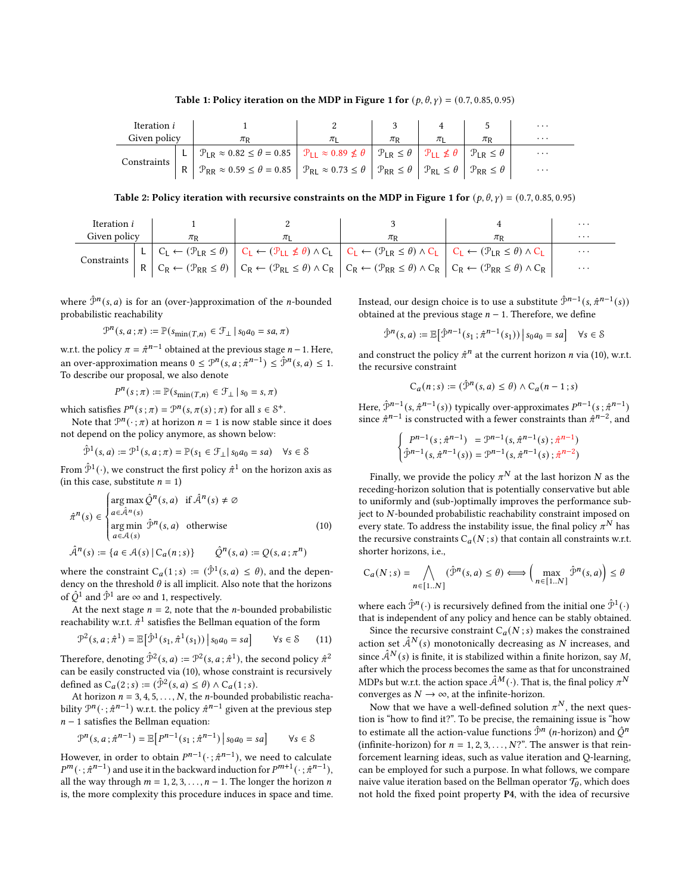Table [1](#page-2-1): Policy iteration on the MDP in Figure 1 for  $(p, \theta, \gamma) = (0.7, 0.85, 0.95)$ 

<span id="page-4-0"></span>

| Iteration i  |  |                                                                                                                                                                                                                                                             |  |  | $\cdot$  |
|--------------|--|-------------------------------------------------------------------------------------------------------------------------------------------------------------------------------------------------------------------------------------------------------------|--|--|----------|
| Given policy |  |                                                                                                                                                                                                                                                             |  |  | $\cdots$ |
| Constraints  |  | L   $\mathcal{P}_{LR} \approx 0.82 \le \theta = 0.85$   $\mathcal{P}_{LL} \approx 0.89 \nleq \theta$   $\mathcal{P}_{LR} \le \theta$   $\mathcal{P}_{LL} \nleq \theta$   $\mathcal{P}_{LR} \le \theta$                                                      |  |  | $\cdot$  |
|              |  | $R \left[ \mathcal{P}_{RR} \approx 0.59 \le \theta = 0.85 \right] \left[ \mathcal{P}_{RL} \approx 0.73 \le \theta \right] \left[ \mathcal{P}_{RR} \le \theta \right] \left[ \mathcal{P}_{RL} \le \theta \right] \left[ \mathcal{P}_{RR} \le \theta \right]$ |  |  | $\cdot$  |

Table 2: Policy iteration with recursive constraints on the MDP in Figure [1](#page-2-1) for  $(p, \theta, \gamma) = (0.7, 0.85, 0.95)$ 

<span id="page-4-1"></span>

| Iteration <i>i</i> |  |  |                                                                                                                                                                                                                                                                                                                                                                                                                                                                               | $\cdots$ |
|--------------------|--|--|-------------------------------------------------------------------------------------------------------------------------------------------------------------------------------------------------------------------------------------------------------------------------------------------------------------------------------------------------------------------------------------------------------------------------------------------------------------------------------|----------|
| Given policy       |  |  |                                                                                                                                                                                                                                                                                                                                                                                                                                                                               | $\cdots$ |
| Constraints        |  |  |                                                                                                                                                                                                                                                                                                                                                                                                                                                                               | $\cdot$  |
|                    |  |  | $\left \begin{array}{c c c c c} \texttt{L} & \texttt{C}_\texttt{L} \leftarrow (\mathcal{P}_\texttt{LR} \leq \theta) & \texttt{C}_\texttt{L} \leftarrow (\mathcal{P}_\texttt{LL} \not\leq \theta) \land \texttt{C}_\texttt{L} & \texttt{C}_\texttt{L} \leftarrow (\mathcal{P}_\texttt{LR} \leq \theta) \land \texttt{C}_\texttt{L} & \texttt{C}_\texttt{L} \leftarrow (\mathcal{P}_\texttt{LR} \leq \theta) \land \texttt{C}_\texttt{L} & \texttt{C}_\texttt{R} \leftarrow (\$ | $\cdots$ |

where  $\hat{\mathcal{P}}^n(s, a)$  is for an (over-)approximation of the *n*-bounded probabilistic reachability

$$
\mathcal{P}^n(s, a; \pi) := \mathbb{P}(s_{\min(T, n)} \in \mathcal{F}_{\perp} \,|\, s_0 a_0 = s a, \pi)
$$

w.r.t. the policy  $\pi = \hat{\pi}^{n-1}$  obtained at the previous stage  $n-1$ . Here, an over-approximation means  $0 \le \mathcal{P}^n(s, a; \hat{\pi}^{n-1}) \le \hat{\mathcal{P}}^n(s, a) \le 1$ . To describe our proposal, we also denote

$$
P^{n}(s;\pi) := \mathbb{P}(s_{\min(T,n)} \in \mathcal{F}_{\perp} \,|\, s_0 = s, \pi)
$$

which satisfies  $P^n(s; \pi) = \mathcal{P}^n(s, \pi(s); \pi)$  for all  $s \in \mathcal{S}^+$ .

Note that  $\mathcal{P}^n(\cdot; \pi)$  at horizon  $n = 1$  is now stable since it does not depend on the policy anymore, as shown below:

$$
\hat{\mathcal{P}}^1(s, a) := \mathcal{P}^1(s, a; \pi) = \mathbb{P}(s_1 \in \mathcal{F}_\perp | s_0 a_0 = sa) \quad \forall s \in \mathcal{S}
$$

From  $\hat{\mathcal{P}}^1(\cdot)$ , we construct the first policy  $\hat{\pi}^1$  on the horizon axis as (in this case, substitute  $n = 1$ )

$$
\hat{\pi}^{n}(s) \in \begin{cases}\n\arg \max \hat{Q}^{n}(s, a) & \text{if } \hat{\mathcal{A}}^{n}(s) \neq \emptyset \\
a \in \hat{\mathcal{A}}^{n}(s) & \text{arg min } \hat{\mathcal{P}}^{n}(s, a) & \text{otherwise} \\
a \in \mathcal{A}(s) & \text{if } \hat{\mathcal{A}}^{n}(s) = \{a \in \mathcal{A}(s) \mid C_{a}(n; s)\} & \hat{\mathcal{Q}}^{n}(s, a) := Q(s, a; \pi^{n})\n\end{cases}
$$
\n(10)

where the constraint  $C_a(1; s) := (\hat{\mathcal{P}}^1(s, a) \leq \theta)$ , and the dependency on the threshold  $\theta$  is all implicit. Also note that the horizons of  $\hat{Q}^1$  and  $\hat{\mathcal{P}}^1$  are  $\infty$  and 1, respectively.

At the next stage  $n = 2$ , note that the *n*-bounded probabilistic reachability w.r.t.  $\hat{\pi}^1$  satisfies the Bellman equation of the form

$$
\mathcal{P}^2(s, a; \hat{\pi}^1) = \mathbb{E}\big[\hat{\mathcal{P}}^1(s_1, \hat{\pi}^1(s_1)) | s_0 a_0 = sa\big] \qquad \forall s \in \mathcal{S} \tag{11}
$$

Therefore, denoting  $\hat{\mathcal{P}}^2(s, a) := \mathcal{P}^2(s, a; \hat{\pi}^1)$ , the second policy  $\hat{\pi}^2$ can be easily constructed via [\(10\)](#page-4-2), whose constraint is recursively defined as  $C_a(2; s) := (\hat{\mathcal{P}}^2(s, a) \leq \theta) \wedge C_a(1; s).$ 

At horizon  $n = 3, 4, 5, ..., N$ , the *n*-bounded probabilistic reachability  $\mathcal{P}^n(\cdot; \hat{\pi}^{n-1})$  w.r.t. the policy  $\hat{\pi}^{n-1}$  given at the previous step  $n-1$  satisfies the Bellman equation:

$$
\mathcal{P}^{n}(s, a; \hat{\pi}^{n-1}) = \mathbb{E}\big[P^{n-1}(s_1; \hat{\pi}^{n-1}) | s_0 a_0 = sa\big] \qquad \forall s \in \mathcal{S}
$$

However, in order to obtain  $P^{n-1}(\cdot; \hat{\pi}^{n-1})$ , we need to calculate  $P^m(\cdot; \hat{\pi}^{n-1})$  and use it in the backward induction for  $P^{m+1}(\cdot; \hat{\pi}^{n-1})$ , all the way through  $m = 1, 2, 3, \ldots, n - 1$ . The longer the horizon *n* is, the more complexity this procedure induces in space and time.

Instead, our design choice is to use a substitute  $\hat{\mathcal{P}}^{n-1}(s, \hat{\pi}^{n-1}(s))$ obtained at the previous stage  $n - 1$ . Therefore, we define

$$
\hat{\mathcal{P}}^{n}(s, a) := \mathbb{E}\big[\hat{\mathcal{P}}^{n-1}(s_1 \, ; \hat{\pi}^{n-1}(s_1)) \, \big| \, s_0 a_0 = sa\big] \quad \forall s \in \mathcal{S}
$$

and construct the policy  $\hat{\pi}^n$  at the current horizon *n* via [\(10\)](#page-4-2), w.r.t. the recursive constraint

$$
C_a(n; s) := (\hat{\mathcal{P}}^n(s, a) \leq \theta) \land C_a(n - 1; s)
$$

Here,  $\hat{\mathcal{P}}^{n-1}(s, \hat{\pi}^{n-1}(s))$  typically over-approximates  $P^{n-1}(s; \hat{\pi}^{n-1})$ since  $\hat{\pi}^{n-1}$  is constructed with a fewer constraints than  $\hat{\pi}^{n-2}$ , and

$$
\begin{cases}\nP^{n-1}(s; \hat{\pi}^{n-1}) = \mathcal{P}^{n-1}(s, \hat{\pi}^{n-1}(s); \hat{\pi}^{n-1}) \\
\hat{\mathcal{P}}^{n-1}(s, \hat{\pi}^{n-1}(s)) = \mathcal{P}^{n-1}(s, \hat{\pi}^{n-1}(s); \hat{\pi}^{n-2})\n\end{cases}
$$

<span id="page-4-2"></span>Finally, we provide the policy  $\pi^N$  at the last horizon  $N$  as the receding-horizon solution that is potentially conservative but able to uniformly and (sub-)optimally improves the performance subject to N-bounded probabilistic reachability constraint imposed on every state. To address the instability issue, the final policy  $\pi^N$  has the recursive constraints  $C_a(N; s)$  that contain all constraints w.r.t. shorter horizons, i.e.,

$$
C_a(N; s) = \bigwedge_{n \in [1..N]} (\hat{\mathcal{P}}^n(s, a) \le \theta) \Longleftrightarrow \left(\max_{n \in [1..N]} \hat{\mathcal{P}}^n(s, a)\right) \le \theta
$$

where each  $\hat{\mathcal{P}}^n(\cdot)$  is recursively defined from the initial one  $\hat{\mathcal{P}}^1(\cdot)$ that is independent of any policy and hence can be stably obtained.

Since the recursive constraint  $C_a(N; s)$  makes the constrained action set  $\hat{A}^{N}(s)$  monotonically decreasing as N increases, and since  $\hat{\mathcal{A}}^{N}(s)$  is finite, it is stabilized within a finite horizon, say M, after which the process becomes the same as that for unconstrained MDPs but w.r.t. the action space  $\hat{\mathcal{A}}^{M}(\cdot)$ . That is, the final policy  $\pi^{N}$ converges as  $N \to \infty$ , at the infinite-horizon.

Now that we have a well-defined solution  $\pi^N$ , the next question is "how to find it?". To be precise, the remaining issue is "how to estimate all the action-value functions  $\hat{\mathcal{P}}^n$  (*n*-horizon) and  $\hat{\mathcal{Q}}^n$ (infinite-horizon) for  $n = 1, 2, 3, ..., N$ ?". The answer is that reinforcement learning ideas, such as value iteration and Q-learning, can be employed for such a purpose. In what follows, we compare naive value iteration based on the Bellman operator  $\mathcal{T}_{\theta}$ , which does not hold the fixed point property P4, with the idea of recursive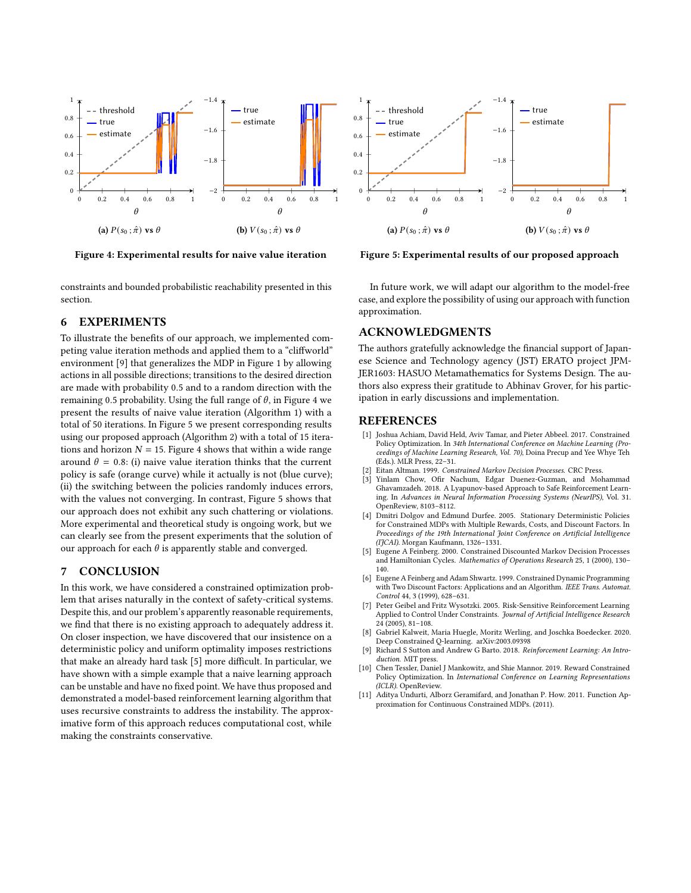<span id="page-5-12"></span>

Figure 4: Experimental results for naive value iteration

constraints and bounded probabilistic reachability presented in this section.

# <span id="page-5-9"></span>6 EXPERIMENTS

To illustrate the benefits of our approach, we implemented competing value iteration methods and applied them to a "cliffworld" environment [\[9\]](#page-5-11) that generalizes the MDP in Figure [1](#page-2-1) by allowing actions in all possible directions; transitions to the desired direction are made with probability 0.5 and to a random direction with the remaining 0.5 probability. Using the full range of  $\theta$ , in Figure [4](#page-5-12) we present the results of naive value iteration (Algorithm [1\)](#page-6-0) with a total of 50 iterations. In Figure [5](#page-5-12) we present corresponding results using our proposed approach (Algorithm [2\)](#page-6-1) with a total of 15 iterations and horizon  $N = 15$ . Figure [4](#page-5-12) shows that within a wide range around  $\theta = 0.8$ : (i) naive value iteration thinks that the current policy is safe (orange curve) while it actually is not (blue curve); (ii) the switching between the policies randomly induces errors, with the values not converging. In contrast, Figure [5](#page-5-12) shows that our approach does not exhibit any such chattering or violations. More experimental and theoretical study is ongoing work, but we can clearly see from the present experiments that the solution of our approach for each  $\theta$  is apparently stable and converged.

# <span id="page-5-10"></span>7 CONCLUSION

In this work, we have considered a constrained optimization problem that arises naturally in the context of safety-critical systems. Despite this, and our problem's apparently reasonable requirements, we find that there is no existing approach to adequately address it. On closer inspection, we have discovered that our insistence on a deterministic policy and uniform optimality imposes restrictions that make an already hard task [\[5\]](#page-5-6) more difficult. In particular, we have shown with a simple example that a naive learning approach can be unstable and have no fixed point. We have thus proposed and demonstrated a model-based reinforcement learning algorithm that uses recursive constraints to address the instability. The approximative form of this approach reduces computational cost, while making the constraints conservative.



Figure 5: Experimental results of our proposed approach

In future work, we will adapt our algorithm to the model-free case, and explore the possibility of using our approach with function approximation.

## ACKNOWLEDGMENTS

The authors gratefully acknowledge the financial support of Japanese Science and Technology agency (JST) ERATO project JPM-JER1603: HASUO Metamathematics for Systems Design. The authors also express their gratitude to Abhinav Grover, for his participation in early discussions and implementation.

#### REFERENCES

- <span id="page-5-0"></span>[1] Joshua Achiam, David Held, Aviv Tamar, and Pieter Abbeel. 2017. Constrained Policy Optimization. In 34th International Conference on Machine Learning (Proceedings of Machine Learning Research, Vol. 70), Doina Precup and Yee Whye Teh (Eds.). MLR Press, 22–31.
- [2] Eitan Altman. 1999. Constrained Markov Decision Processes. CRC Press.<br>[3] Yinlam Chow. Ofir Nachum. Edgar Duenez-Guzman. and Mol
- <span id="page-5-3"></span>[3] Yinlam Chow, Ofir Nachum, Edgar Duenez-Guzman, and Mohammad Ghavamzadeh. 2018. A Lyapunov-based Approach to Safe Reinforcement Learning. In Advances in Neural Information Processing Systems (NeurIPS), Vol. 31. OpenReview, 8103–8112.
- <span id="page-5-5"></span>[4] Dmitri Dolgov and Edmund Durfee. 2005. Stationary Deterministic Policies for Constrained MDPs with Multiple Rewards, Costs, and Discount Factors. In Proceedings of the 19th International Joint Conference on Artificial Intelligence (IJCAI). Morgan Kaufmann, 1326-1331.
- <span id="page-5-6"></span>[5] Eugene A Feinberg. 2000. Constrained Discounted Markov Decision Processes and Hamiltonian Cycles. Mathematics of Operations Research 25, 1 (2000), 130– 140.
- <span id="page-5-4"></span>[6] Eugene A Feinberg and Adam Shwartz. 1999. Constrained Dynamic Programming with Two Discount Factors: Applications and an Algorithm. IEEE Trans. Automat. Control 44, 3 (1999), 628–631.
- <span id="page-5-1"></span>[7] Peter Geibel and Fritz Wysotzki. 2005. Risk-Sensitive Reinforcement Learning Applied to Control Under Constraints. Journal of Artificial Intelligence Research 24 (2005), 81–108.
- <span id="page-5-7"></span>[8] Gabriel Kalweit, Maria Huegle, Moritz Werling, and Joschka Boedecker. 2020. Deep Constrained Q-learning. arXiv[:2003.09398](https://arxiv.org/abs/2003.09398)
- <span id="page-5-11"></span>Richard S Sutton and Andrew G Barto. 2018. Reinforcement Learning: An Introduction. MIT press
- <span id="page-5-2"></span>[10] Chen Tessler, Daniel J Mankowitz, and Shie Mannor. 2019. Reward Constrained Policy Optimization. In International Conference on Learning Representations (ICLR). OpenReview.
- <span id="page-5-8"></span>[11] Aditya Undurti, Alborz Geramifard, and Jonathan P. How. 2011. Function Approximation for Continuous Constrained MDPs. (2011).